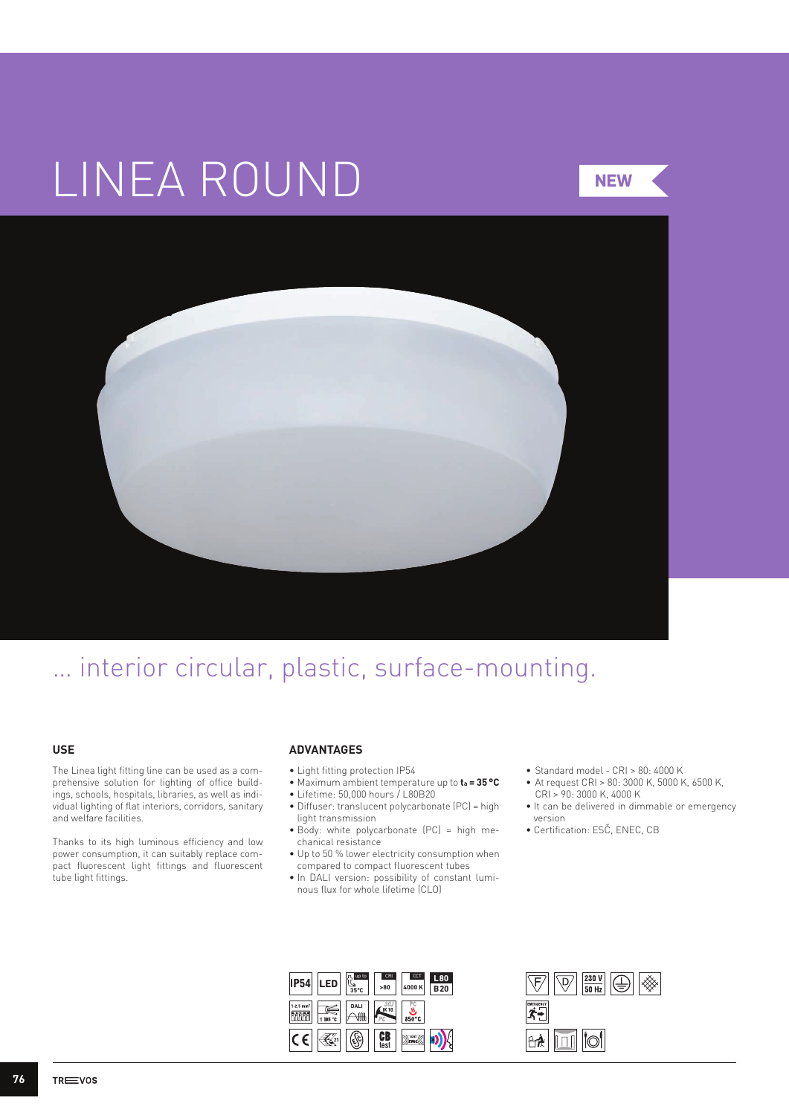# LINEA ROUND

**NEW**



## … interior circular, plastic, surface-mounting.

### **USE**

The Linea light fitting line can be used as a comprehensive solution for lighting of office buildings, schools, hospitals, libraries, as well as individual lighting of flat interiors, corridors, sanitary and welfare facilities.

Thanks to its high luminous efficiency and low power consumption, it can suitably replace compact fluorescent light fittings and fluorescent tube light fittings.

#### **ADVANTAGES**

- Light fitting protection IP54
- Maximum ambient temperature up to **ta = 35°C**
- Lifetime: 50,000 hours / L80B20
- Diffuser: translucent polycarbonate (PC) = high light transmission
- Body: white polycarbonate (PC) = high mechanical resistance
- Up to 50 % lower electricity consumption when compared to compact fluorescent tubes
- In DALI version: possibility of constant luminous flux for whole lifetime (CLO)
- • Standard model CRI > 80: 4000 K
- • At request CRI > 80: 3000 K, 5000 K, 6500 K, CRI > 90: 3000 K, 4000 K
- It can be delivered in dimmable or emergency version
- Certification: ESČ, ENEC, CB